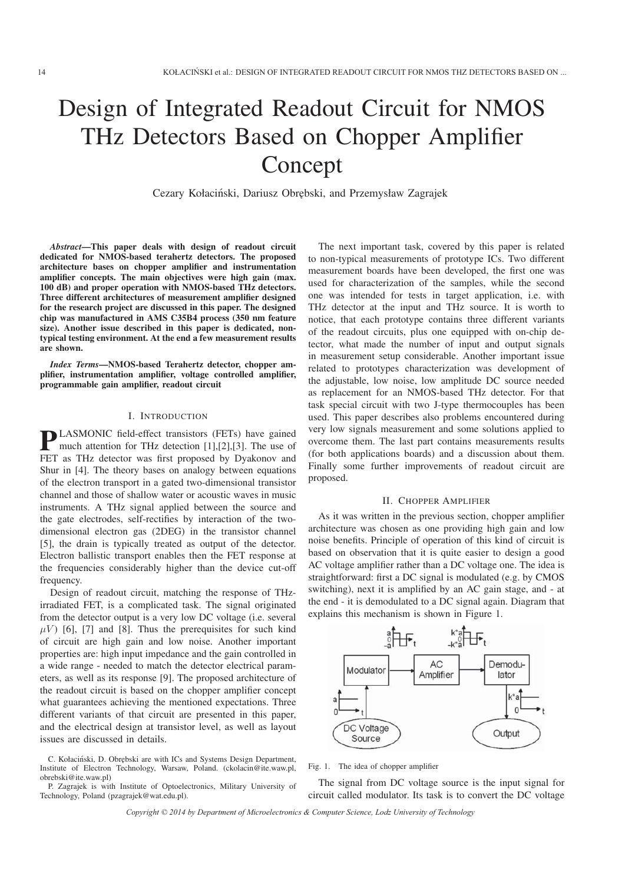# Design of Integrated Readout Circuit for NMOS THz Detectors Based on Chopper Amplifier Concept

Cezary Kołaciński, Dariusz Obrębski, and Przemysław Zagrajek

*Abstract*—This paper deals with design of readout circuit dedicated for NMOS-based terahertz detectors. The proposed architecture bases on chopper amplifier and instrumentation amplifier concepts. The main objectives were high gain (max. 100 dB) and proper operation with NMOS-based THz detectors. Three different architectures of measurement amplifier designed for the research project are discussed in this paper. The designed chip was manufactured in AMS C35B4 process (350 nm feature size). Another issue described in this paper is dedicated, nontypical testing environment. At the end a few measurement results are shown.

*Index Terms*—NMOS-based Terahertz detector, chopper amplifier, instrumentation amplifier, voltage controlled amplifier, programmable gain amplifier, readout circuit

#### I. INTRODUCTION

**PLASMONIC** field-effect transistors (FETs) have gained much attention for THz detection [1],[2],[3]. The use of FET as THz detector was first proposed by Dyakonov and Shur in [4]. The theory bases on analogy between equations of the electron transport in a gated two-dimensional transistor channel and those of shallow water or acoustic waves in music instruments. A THz signal applied between the source and the gate electrodes, self-rectifies by interaction of the twodimensional electron gas (2DEG) in the transistor channel [5], the drain is typically treated as output of the detector. Electron ballistic transport enables then the FET response at the frequencies considerably higher than the device cut-off frequency.

Design of readout circuit, matching the response of THzirradiated FET, is a complicated task. The signal originated from the detector output is a very low DC voltage (i.e. several  $\mu$ V) [6], [7] and [8]. Thus the prerequisites for such kind of circuit are high gain and low noise. Another important properties are: high input impedance and the gain controlled in a wide range - needed to match the detector electrical parameters, as well as its response [9]. The proposed architecture of the readout circuit is based on the chopper amplifier concept what guarantees achieving the mentioned expectations. Three different variants of that circuit are presented in this paper, and the electrical design at transistor level, as well as layout issues are discussed in details.

C. Kołaciński, D. Obrębski are with ICs and Systems Design Department, Institute of Electron Technology, Warsaw, Poland. (ckolacin@ite.waw.pl, obrebski@ite.waw.pl)

P. Zagrajek is with Institute of Optoelectronics, Military University of Technology, Poland (pzagrajek@wat.edu.pl).

The next important task, covered by this paper is related to non-typical measurements of prototype ICs. Two different measurement boards have been developed, the first one was used for characterization of the samples, while the second one was intended for tests in target application, i.e. with THz detector at the input and THz source. It is worth to notice, that each prototype contains three different variants of the readout circuits, plus one equipped with on-chip detector, what made the number of input and output signals in measurement setup considerable. Another important issue related to prototypes characterization was development of the adjustable, low noise, low amplitude DC source needed as replacement for an NMOS-based THz detector. For that task special circuit with two J-type thermocouples has been used. This paper describes also problems encountered during very low signals measurement and some solutions applied to overcome them. The last part contains measurements results (for both applications boards) and a discussion about them. Finally some further improvements of readout circuit are proposed.

#### II. CHOPPER AMPLIFIER

As it was written in the previous section, chopper amplifier architecture was chosen as one providing high gain and low noise benefits. Principle of operation of this kind of circuit is based on observation that it is quite easier to design a good AC voltage amplifier rather than a DC voltage one. The idea is straightforward: first a DC signal is modulated (e.g. by CMOS switching), next it is amplified by an AC gain stage, and - at the end - it is demodulated to a DC signal again. Diagram that explains this mechanism is shown in Figure 1.



Fig. 1. The idea of chopper amplifier

The signal from DC voltage source is the input signal for circuit called modulator. Its task is to convert the DC voltage

Copyright © 2014 by Department of Microelectronics & Computer Science, Lodz University of Technology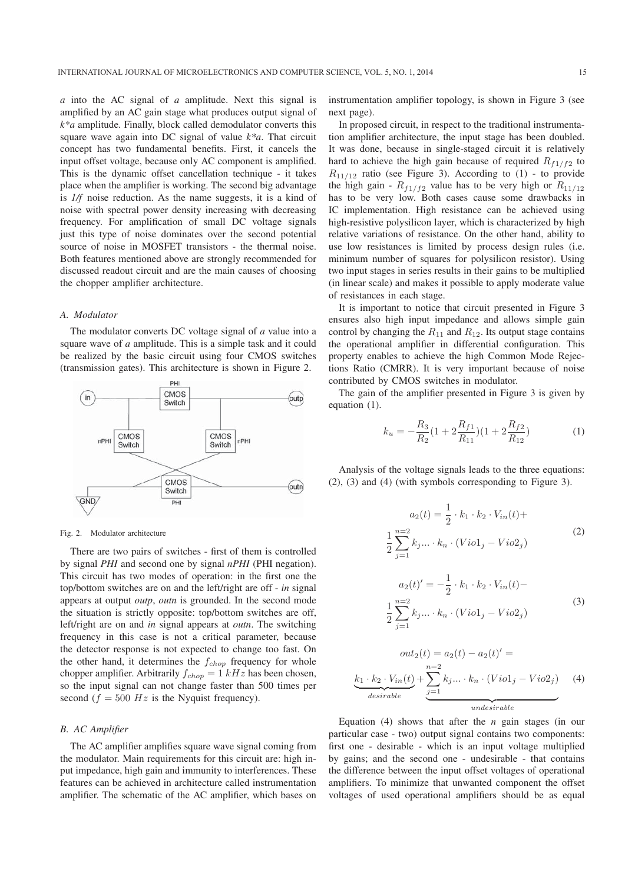*a* into the AC signal of *a* amplitude. Next this signal is amplified by an AC gain stage what produces output signal of *k\*a* amplitude. Finally, block called demodulator converts this square wave again into DC signal of value *k\*a*. That circuit concept has two fundamental benefits. First, it cancels the input offset voltage, because only AC component is amplified. This is the dynamic offset cancellation technique - it takes place when the amplifier is working. The second big advantage is *1/f* noise reduction. As the name suggests, it is a kind of noise with spectral power density increasing with decreasing frequency. For amplification of small DC voltage signals just this type of noise dominates over the second potential source of noise in MOSFET transistors - the thermal noise. Both features mentioned above are strongly recommended for discussed readout circuit and are the main causes of choosing the chopper amplifier architecture.

## *A. Modulator*

The modulator converts DC voltage signal of *a* value into a square wave of *a* amplitude. This is a simple task and it could be realized by the basic circuit using four CMOS switches (transmission gates). This architecture is shown in Figure 2.



#### Fig. 2. Modulator architecture

There are two pairs of switches - first of them is controlled by signal *PHI* and second one by signal *nPHI* (PHI negation). This circuit has two modes of operation: in the first one the top/bottom switches are on and the left/right are off - *in* signal appears at output *outp*, *outn* is grounded. In the second mode the situation is strictly opposite: top/bottom switches are off, left/right are on and *in* signal appears at *outn*. The switching frequency in this case is not a critical parameter, because the detector response is not expected to change too fast. On the other hand, it determines the  $f_{chop}$  frequency for whole chopper amplifier. Arbitrarily  $f_{chop} = 1 kHz$  has been chosen, so the input signal can not change faster than 500 times per second ( $f = 500$  Hz is the Nyquist frequency).

## *B. AC Amplifier*

The AC amplifier amplifies square wave signal coming from the modulator. Main requirements for this circuit are: high input impedance, high gain and immunity to interferences. These features can be achieved in architecture called instrumentation amplifier. The schematic of the AC amplifier, which bases on instrumentation amplifier topology, is shown in Figure 3 (see next page).

In proposed circuit, in respect to the traditional instrumentation amplifier architecture, the input stage has been doubled. It was done, because in single-staged circuit it is relatively hard to achieve the high gain because of required  $R_{f1/f2}$  to  $R_{11/12}$  ratio (see Figure 3). According to (1) - to provide the high gain -  $R_{f1/f2}$  value has to be very high or  $R_{11/12}$ has to be very low. Both cases cause some drawbacks in IC implementation. High resistance can be achieved using high-resistive polysilicon layer, which is characterized by high relative variations of resistance. On the other hand, ability to use low resistances is limited by process design rules (i.e. minimum number of squares for polysilicon resistor). Using two input stages in series results in their gains to be multiplied (in linear scale) and makes it possible to apply moderate value of resistances in each stage.

It is important to notice that circuit presented in Figure 3 ensures also high input impedance and allows simple gain control by changing the  $R_{11}$  and  $R_{12}$ . Its output stage contains the operational amplifier in differential configuration. This property enables to achieve the high Common Mode Rejections Ratio (CMRR). It is very important because of noise contributed by CMOS switches in modulator.

The gain of the amplifier presented in Figure 3 is given by equation (1).

$$
k_u = -\frac{R_3}{R_2} (1 + 2\frac{R_{f1}}{R_{11}})(1 + 2\frac{R_{f2}}{R_{12}})
$$
 (1)

Analysis of the voltage signals leads to the three equations: (2), (3) and (4) (with symbols corresponding to Figure 3).

$$
a_2(t) = \frac{1}{2} \cdot k_1 \cdot k_2 \cdot V_{in}(t) +
$$
  
\n
$$
\frac{1}{2} \sum_{j=1}^{n=2} k_j \dots \cdot k_n \cdot (Viol_j - Viol_j)
$$
  
\n
$$
a_2(t)' = -\frac{1}{2} \cdot k_1 \cdot k_2 \cdot V_{in}(t) -
$$
  
\n
$$
\frac{1}{2} \sum_{j=1}^{n=2} k_j \dots \cdot k_n \cdot (Viol_j - Viol_j)
$$
  
\n(3)

$$
out_2(t) = a_2(t) - a_2(t)' =
$$
  
\n
$$
\underbrace{k_1 \cdot k_2 \cdot V_{in}(t)}_{desirable} + \underbrace{\sum_{j=1}^{n=2} k_j ... \cdot k_n \cdot (Viol_j - Viol_j)}_{underirable}
$$
 (4)

Equation  $(4)$  shows that after the *n* gain stages (in our particular case - two) output signal contains two components: first one - desirable - which is an input voltage multiplied by gains; and the second one - undesirable - that contains the difference between the input offset voltages of operational amplifiers. To minimize that unwanted component the offset voltages of used operational amplifiers should be as equal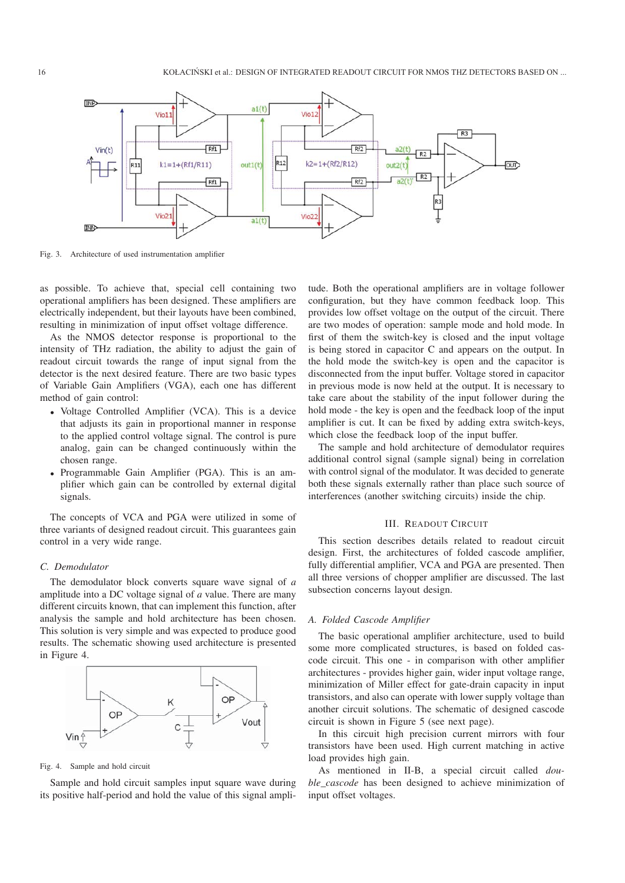

Fig. 3. Architecture of used instrumentation amplifier

as possible. To achieve that, special cell containing two operational amplifiers has been designed. These amplifiers are electrically independent, but their layouts have been combined, resulting in minimization of input offset voltage difference.

As the NMOS detector response is proportional to the intensity of THz radiation, the ability to adjust the gain of readout circuit towards the range of input signal from the detector is the next desired feature. There are two basic types of Variable Gain Amplifiers (VGA), each one has different method of gain control:

- Voltage Controlled Amplifier (VCA). This is a device that adjusts its gain in proportional manner in response to the applied control voltage signal. The control is pure analog, gain can be changed continuously within the chosen range.
- Programmable Gain Amplifier (PGA). This is an amplifier which gain can be controlled by external digital signals.

The concepts of VCA and PGA were utilized in some of three variants of designed readout circuit. This guarantees gain control in a very wide range.

## *C. Demodulator*

The demodulator block converts square wave signal of *a* amplitude into a DC voltage signal of *a* value. There are many different circuits known, that can implement this function, after analysis the sample and hold architecture has been chosen. This solution is very simple and was expected to produce good results. The schematic showing used architecture is presented in Figure 4.



Fig. 4. Sample and hold circuit

Sample and hold circuit samples input square wave during its positive half-period and hold the value of this signal ampli-

tude. Both the operational amplifiers are in voltage follower configuration, but they have common feedback loop. This provides low offset voltage on the output of the circuit. There are two modes of operation: sample mode and hold mode. In first of them the switch-key is closed and the input voltage is being stored in capacitor C and appears on the output. In the hold mode the switch-key is open and the capacitor is disconnected from the input buffer. Voltage stored in capacitor in previous mode is now held at the output. It is necessary to take care about the stability of the input follower during the hold mode - the key is open and the feedback loop of the input amplifier is cut. It can be fixed by adding extra switch-keys, which close the feedback loop of the input buffer.

The sample and hold architecture of demodulator requires additional control signal (sample signal) being in correlation with control signal of the modulator. It was decided to generate both these signals externally rather than place such source of interferences (another switching circuits) inside the chip.

#### III. READOUT CIRCUIT

This section describes details related to readout circuit design. First, the architectures of folded cascode amplifier, fully differential amplifier, VCA and PGA are presented. Then all three versions of chopper amplifier are discussed. The last subsection concerns layout design.

#### *A. Folded Cascode Amplifier*

The basic operational amplifier architecture, used to build some more complicated structures, is based on folded cascode circuit. This one - in comparison with other amplifier architectures - provides higher gain, wider input voltage range, minimization of Miller effect for gate-drain capacity in input transistors, and also can operate with lower supply voltage than another circuit solutions. The schematic of designed cascode circuit is shown in Figure 5 (see next page).

In this circuit high precision current mirrors with four transistors have been used. High current matching in active load provides high gain.

As mentioned in II-B, a special circuit called *double\_cascode* has been designed to achieve minimization of input offset voltages.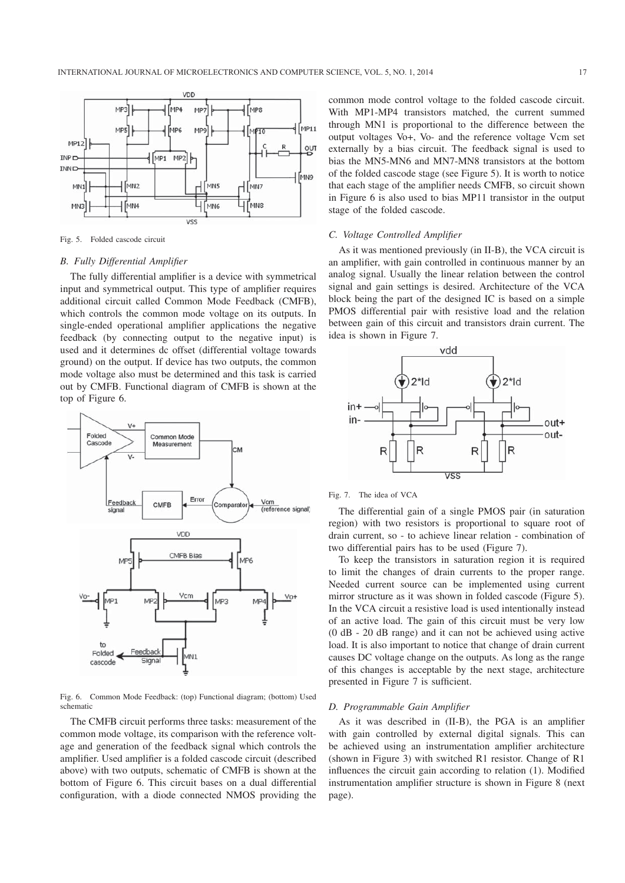

#### Fig. 5. Folded cascode circuit

## *B. Fully Differential Amplifier*

The fully differential amplifier is a device with symmetrical input and symmetrical output. This type of amplifier requires additional circuit called Common Mode Feedback (CMFB), which controls the common mode voltage on its outputs. In single-ended operational amplifier applications the negative feedback (by connecting output to the negative input) is used and it determines dc offset (differential voltage towards ground) on the output. If device has two outputs, the common mode voltage also must be determined and this task is carried out by CMFB. Functional diagram of CMFB is shown at the top of Figure 6.



Fig. 6. Common Mode Feedback: (top) Functional diagram; (bottom) Used schematic

The CMFB circuit performs three tasks: measurement of the common mode voltage, its comparison with the reference voltage and generation of the feedback signal which controls the amplifier. Used amplifier is a folded cascode circuit (described above) with two outputs, schematic of CMFB is shown at the bottom of Figure 6. This circuit bases on a dual differential configuration, with a diode connected NMOS providing the

common mode control voltage to the folded cascode circuit. With MP1-MP4 transistors matched, the current summed through MN1 is proportional to the difference between the output voltages Vo+, Vo- and the reference voltage Vcm set externally by a bias circuit. The feedback signal is used to bias the MN5-MN6 and MN7-MN8 transistors at the bottom of the folded cascode stage (see Figure 5). It is worth to notice that each stage of the amplifier needs CMFB, so circuit shown in Figure 6 is also used to bias MP11 transistor in the output stage of the folded cascode.

#### *C. Voltage Controlled Amplifier*

As it was mentioned previously (in II-B), the VCA circuit is an amplifier, with gain controlled in continuous manner by an analog signal. Usually the linear relation between the control signal and gain settings is desired. Architecture of the VCA block being the part of the designed IC is based on a simple PMOS differential pair with resistive load and the relation between gain of this circuit and transistors drain current. The idea is shown in Figure 7.



#### Fig. 7. The idea of VCA

The differential gain of a single PMOS pair (in saturation region) with two resistors is proportional to square root of drain current, so - to achieve linear relation - combination of two differential pairs has to be used (Figure 7).

To keep the transistors in saturation region it is required to limit the changes of drain currents to the proper range. Needed current source can be implemented using current mirror structure as it was shown in folded cascode (Figure 5). In the VCA circuit a resistive load is used intentionally instead of an active load. The gain of this circuit must be very low (0 dB - 20 dB range) and it can not be achieved using active load. It is also important to notice that change of drain current causes DC voltage change on the outputs. As long as the range of this changes is acceptable by the next stage, architecture presented in Figure 7 is sufficient.

#### *D. Programmable Gain Amplifier*

As it was described in (II-B), the PGA is an amplifier with gain controlled by external digital signals. This can be achieved using an instrumentation amplifier architecture (shown in Figure 3) with switched R1 resistor. Change of R1 influences the circuit gain according to relation (1). Modified instrumentation amplifier structure is shown in Figure 8 (next page).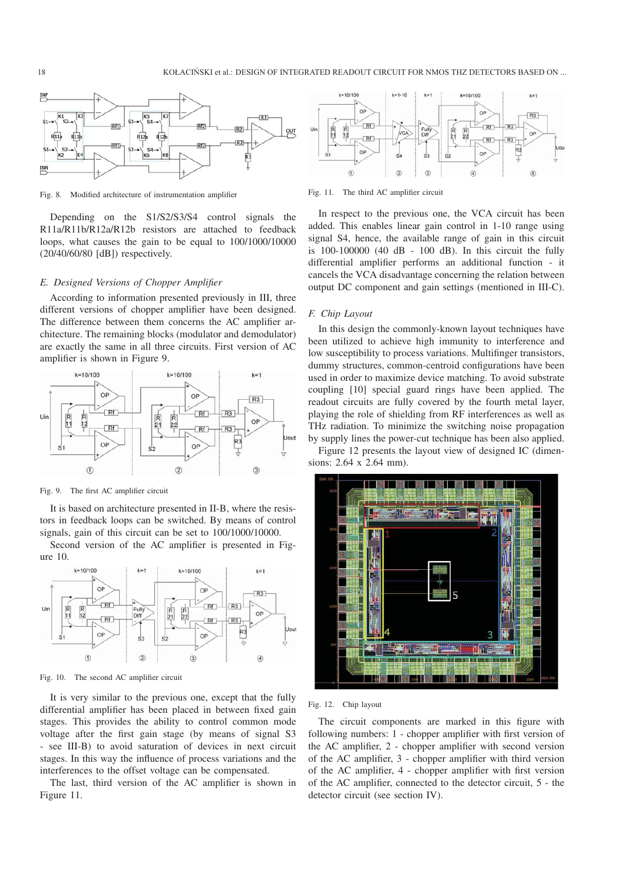

Fig. 8. Modified architecture of instrumentation amplifier

Depending on the S1/S2/S3/S4 control signals the R11a/R11b/R12a/R12b resistors are attached to feedback loops, what causes the gain to be equal to 100/1000/10000 (20/40/60/80 [dB]) respectively.

#### *E. Designed Versions of Chopper Amplifier*

According to information presented previously in III, three different versions of chopper amplifier have been designed. The difference between them concerns the AC amplifier architecture. The remaining blocks (modulator and demodulator) are exactly the same in all three circuits. First version of AC amplifier is shown in Figure 9.



Fig. 9. The first AC amplifier circuit

It is based on architecture presented in II-B, where the resistors in feedback loops can be switched. By means of control signals, gain of this circuit can be set to 100/1000/10000.

Second version of the AC amplifier is presented in Figure 10.



Fig. 10. The second AC amplifier circuit

It is very similar to the previous one, except that the fully differential amplifier has been placed in between fixed gain stages. This provides the ability to control common mode voltage after the first gain stage (by means of signal S3 - see III-B) to avoid saturation of devices in next circuit stages. In this way the influence of process variations and the interferences to the offset voltage can be compensated.

The last, third version of the AC amplifier is shown in Figure 11.



Fig. 11. The third AC amplifier circuit

In respect to the previous one, the VCA circuit has been added. This enables linear gain control in 1-10 range using signal S4, hence, the available range of gain in this circuit is  $100-100000$  (40 dB - 100 dB). In this circuit the fully differential amplifier performs an additional function - it cancels the VCA disadvantage concerning the relation between output DC component and gain settings (mentioned in III-C).

# *F. Chip Layout*

In this design the commonly-known layout techniques have been utilized to achieve high immunity to interference and low susceptibility to process variations. Multifinger transistors, dummy structures, common-centroid configurations have been used in order to maximize device matching. To avoid substrate coupling [10] special guard rings have been applied. The readout circuits are fully covered by the fourth metal layer, playing the role of shielding from RF interferences as well as THz radiation. To minimize the switching noise propagation by supply lines the power-cut technique has been also applied.

Figure 12 presents the layout view of designed IC (dimensions: 2.64 x 2.64 mm).



## Fig. 12. Chip layout

The circuit components are marked in this figure with following numbers: 1 - chopper amplifier with first version of the AC amplifier, 2 - chopper amplifier with second version of the AC amplifier, 3 - chopper amplifier with third version of the AC amplifier, 4 - chopper amplifier with first version of the AC amplifier, connected to the detector circuit, 5 - the detector circuit (see section IV).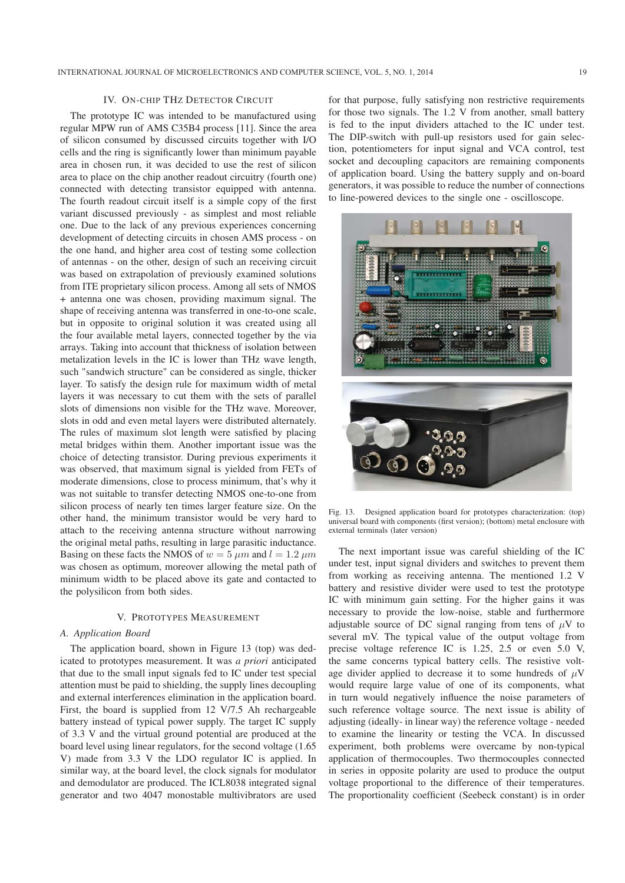# IV. ON-CHIP THZ DETECTOR CIRCUIT

The prototype IC was intended to be manufactured using regular MPW run of AMS C35B4 process [11]. Since the area of silicon consumed by discussed circuits together with I/O cells and the ring is significantly lower than minimum payable area in chosen run, it was decided to use the rest of silicon area to place on the chip another readout circuitry (fourth one) connected with detecting transistor equipped with antenna. The fourth readout circuit itself is a simple copy of the first variant discussed previously - as simplest and most reliable one. Due to the lack of any previous experiences concerning development of detecting circuits in chosen AMS process - on the one hand, and higher area cost of testing some collection of antennas - on the other, design of such an receiving circuit was based on extrapolation of previously examined solutions from ITE proprietary silicon process. Among all sets of NMOS + antenna one was chosen, providing maximum signal. The shape of receiving antenna was transferred in one-to-one scale, but in opposite to original solution it was created using all the four available metal layers, connected together by the via arrays. Taking into account that thickness of isolation between metalization levels in the IC is lower than THz wave length, such "sandwich structure" can be considered as single, thicker layer. To satisfy the design rule for maximum width of metal layers it was necessary to cut them with the sets of parallel slots of dimensions non visible for the THz wave. Moreover, slots in odd and even metal layers were distributed alternately. The rules of maximum slot length were satisfied by placing metal bridges within them. Another important issue was the choice of detecting transistor. During previous experiments it was observed, that maximum signal is yielded from FETs of moderate dimensions, close to process minimum, that's why it was not suitable to transfer detecting NMOS one-to-one from silicon process of nearly ten times larger feature size. On the other hand, the minimum transistor would be very hard to attach to the receiving antenna structure without narrowing the original metal paths, resulting in large parasitic inductance. Basing on these facts the NMOS of  $w = 5 \mu m$  and  $l = 1.2 \mu m$ was chosen as optimum, moreover allowing the metal path of minimum width to be placed above its gate and contacted to the polysilicon from both sides.

#### V. PROTOTYPES MEASUREMENT

## *A. Application Board*

The application board, shown in Figure 13 (top) was dedicated to prototypes measurement. It was *a priori* anticipated that due to the small input signals fed to IC under test special attention must be paid to shielding, the supply lines decoupling and external interferences elimination in the application board. First, the board is supplied from 12 V/7.5 Ah rechargeable battery instead of typical power supply. The target IC supply of 3.3 V and the virtual ground potential are produced at the board level using linear regulators, for the second voltage (1.65 V) made from 3.3 V the LDO regulator IC is applied. In similar way, at the board level, the clock signals for modulator and demodulator are produced. The ICL8038 integrated signal generator and two 4047 monostable multivibrators are used

for that purpose, fully satisfying non restrictive requirements for those two signals. The 1.2 V from another, small battery is fed to the input dividers attached to the IC under test. The DIP-switch with pull-up resistors used for gain selection, potentiometers for input signal and VCA control, test socket and decoupling capacitors are remaining components of application board. Using the battery supply and on-board generators, it was possible to reduce the number of connections to line-powered devices to the single one - oscilloscope.



Fig. 13. Designed application board for prototypes characterization: (top) universal board with components (first version); (bottom) metal enclosure with external terminals (later version)

The next important issue was careful shielding of the IC under test, input signal dividers and switches to prevent them from working as receiving antenna. The mentioned 1.2 V battery and resistive divider were used to test the prototype IC with minimum gain setting. For the higher gains it was necessary to provide the low-noise, stable and furthermore adjustable source of DC signal ranging from tens of  $\mu$ V to several mV. The typical value of the output voltage from precise voltage reference IC is 1.25, 2.5 or even 5.0 V, the same concerns typical battery cells. The resistive voltage divider applied to decrease it to some hundreds of  $\mu$ V would require large value of one of its components, what in turn would negatively influence the noise parameters of such reference voltage source. The next issue is ability of adjusting (ideally- in linear way) the reference voltage - needed to examine the linearity or testing the VCA. In discussed experiment, both problems were overcame by non-typical application of thermocouples. Two thermocouples connected in series in opposite polarity are used to produce the output voltage proportional to the difference of their temperatures. The proportionality coefficient (Seebeck constant) is in order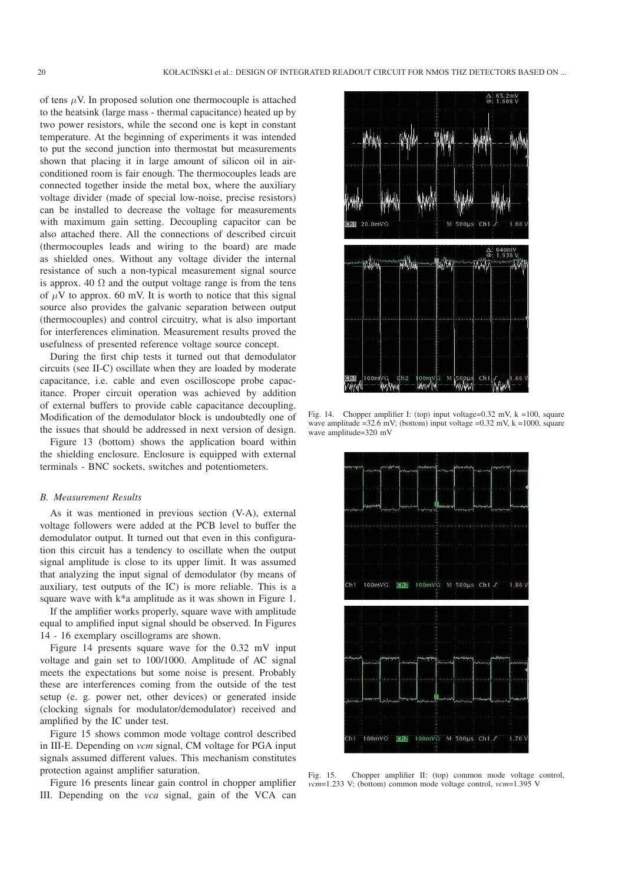of tens  $\mu$ V. In proposed solution one thermocouple is attached to the heatsink (large mass - thermal capacitance) heated up by two power resistors, while the second one is kept in constant temperature. At the beginning of experiments it was intended to put the second junction into thermostat but measurements shown that placing it in large amount of silicon oil in airconditioned room is fair enough. The thermocouples leads are connected together inside the metal box, where the auxiliary voltage divider (made of special low-noise, precise resistors) can be installed to decrease the voltage for measurements with maximum gain setting. Decoupling capacitor can be also attached there. All the connections of described circuit (thermocouples leads and wiring to the board) are made as shielded ones. Without any voltage divider the internal resistance of such a non-typical measurement signal source is approx. 40  $\Omega$  and the output voltage range is from the tens of  $\mu$ V to approx. 60 mV. It is worth to notice that this signal source also provides the galvanic separation between output (thermocouples) and control circuitry, what is also important for interferences elimination. Measurement results proved the usefulness of presented reference voltage source concept.

During the first chip tests it turned out that demodulator circuits (see II-C) oscillate when they are loaded by moderate capacitance, i.e. cable and even oscilloscope probe capacitance. Proper circuit operation was achieved by addition of external buffers to provide cable capacitance decoupling. Modification of the demodulator block is undoubtedly one of the issues that should be addressed in next version of design.

Figure 13 (bottom) shows the application board within the shielding enclosure. Enclosure is equipped with external terminals - BNC sockets, switches and potentiometers.

#### *B. Measurement Results*

As it was mentioned in previous section (V-A), external voltage followers were added at the PCB level to buffer the demodulator output. It turned out that even in this configuration this circuit has a tendency to oscillate when the output signal amplitude is close to its upper limit. It was assumed that analyzing the input signal of demodulator (by means of auxiliary, test outputs of the IC) is more reliable. This is a square wave with k\*a amplitude as it was shown in Figure 1.

If the amplifier works properly, square wave with amplitude equal to amplified input signal should be observed. In Figures 14 - 16 exemplary oscillograms are shown.

Figure 14 presents square wave for the 0.32 mV input voltage and gain set to 100/1000. Amplitude of AC signal meets the expectations but some noise is present. Probably these are interferences coming from the outside of the test setup (e. g. power net, other devices) or generated inside (clocking signals for modulator/demodulator) received and amplified by the IC under test.

Figure 15 shows common mode voltage control described in III-E. Depending on *vcm* signal, CM voltage for PGA input signals assumed different values. This mechanism constitutes protection against amplifier saturation.

Figure 16 presents linear gain control in chopper amplifier III. Depending on the *vca* signal, gain of the VCA can



Fig. 14. Chopper amplifier I: (top) input voltage=0.32 mV, k =100, square wave amplitude =32.6 mV; (bottom) input voltage =0.32 mV,  $k = 1000$ , square wave amplitude=320 mV



Fig. 15. Chopper amplifier II: (top) common mode voltage control, *vcm*=1.233 V; (bottom) common mode voltage control, *vcm*=1.395 V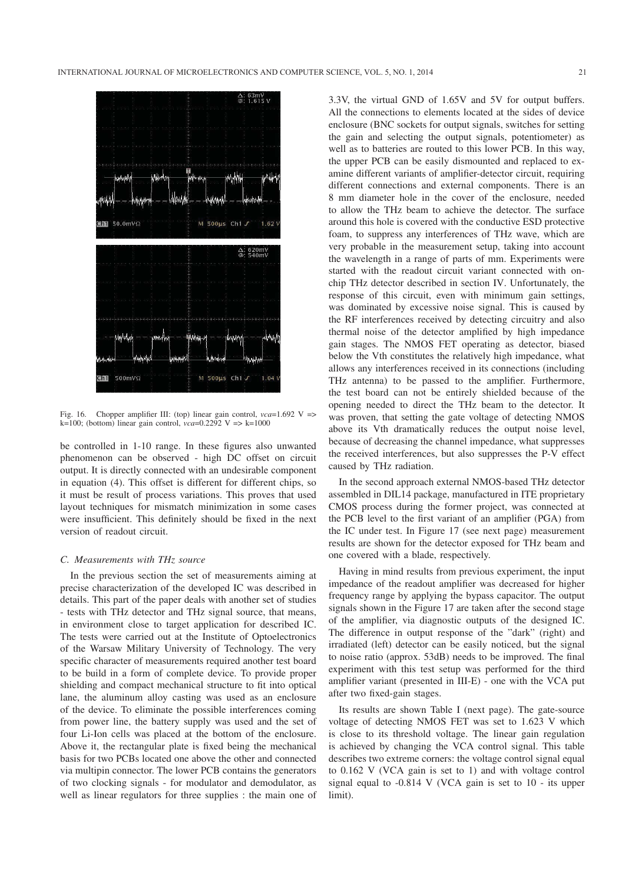

Fig. 16. Chopper amplifier III: (top) linear gain control, *vca*=1.692 V => k=100; (bottom) linear gain control,  $vca = 0.2292$  V => k=1000

be controlled in 1-10 range. In these figures also unwanted phenomenon can be observed - high DC offset on circuit output. It is directly connected with an undesirable component in equation (4). This offset is different for different chips, so it must be result of process variations. This proves that used layout techniques for mismatch minimization in some cases were insufficient. This definitely should be fixed in the next version of readout circuit.

# *C. Measurements with THz source*

In the previous section the set of measurements aiming at precise characterization of the developed IC was described in details. This part of the paper deals with another set of studies - tests with THz detector and THz signal source, that means, in environment close to target application for described IC. The tests were carried out at the Institute of Optoelectronics of the Warsaw Military University of Technology. The very specific character of measurements required another test board to be build in a form of complete device. To provide proper shielding and compact mechanical structure to fit into optical lane, the aluminum alloy casting was used as an enclosure of the device. To eliminate the possible interferences coming from power line, the battery supply was used and the set of four Li-Ion cells was placed at the bottom of the enclosure. Above it, the rectangular plate is fixed being the mechanical basis for two PCBs located one above the other and connected via multipin connector. The lower PCB contains the generators of two clocking signals - for modulator and demodulator, as well as linear regulators for three supplies : the main one of

3.3V, the virtual GND of 1.65V and 5V for output buffers. All the connections to elements located at the sides of device enclosure (BNC sockets for output signals, switches for setting the gain and selecting the output signals, potentiometer) as well as to batteries are routed to this lower PCB. In this way, the upper PCB can be easily dismounted and replaced to examine different variants of amplifier-detector circuit, requiring different connections and external components. There is an 8 mm diameter hole in the cover of the enclosure, needed to allow the THz beam to achieve the detector. The surface around this hole is covered with the conductive ESD protective foam, to suppress any interferences of THz wave, which are very probable in the measurement setup, taking into account the wavelength in a range of parts of mm. Experiments were started with the readout circuit variant connected with onchip THz detector described in section IV. Unfortunately, the response of this circuit, even with minimum gain settings, was dominated by excessive noise signal. This is caused by the RF interferences received by detecting circuitry and also thermal noise of the detector amplified by high impedance gain stages. The NMOS FET operating as detector, biased below the Vth constitutes the relatively high impedance, what allows any interferences received in its connections (including THz antenna) to be passed to the amplifier. Furthermore, the test board can not be entirely shielded because of the opening needed to direct the THz beam to the detector. It was proven, that setting the gate voltage of detecting NMOS above its Vth dramatically reduces the output noise level, because of decreasing the channel impedance, what suppresses the received interferences, but also suppresses the P-V effect caused by THz radiation.

In the second approach external NMOS-based THz detector assembled in DIL14 package, manufactured in ITE proprietary CMOS process during the former project, was connected at the PCB level to the first variant of an amplifier (PGA) from the IC under test. In Figure 17 (see next page) measurement results are shown for the detector exposed for THz beam and one covered with a blade, respectively.

Having in mind results from previous experiment, the input impedance of the readout amplifier was decreased for higher frequency range by applying the bypass capacitor. The output signals shown in the Figure 17 are taken after the second stage of the amplifier, via diagnostic outputs of the designed IC. The difference in output response of the "dark" (right) and irradiated (left) detector can be easily noticed, but the signal to noise ratio (approx. 53dB) needs to be improved. The final experiment with this test setup was performed for the third amplifier variant (presented in III-E) - one with the VCA put after two fixed-gain stages.

Its results are shown Table I (next page). The gate-source voltage of detecting NMOS FET was set to 1.623 V which is close to its threshold voltage. The linear gain regulation is achieved by changing the VCA control signal. This table describes two extreme corners: the voltage control signal equal to 0.162 V (VCA gain is set to 1) and with voltage control signal equal to -0.814 V (VCA gain is set to 10 - its upper limit).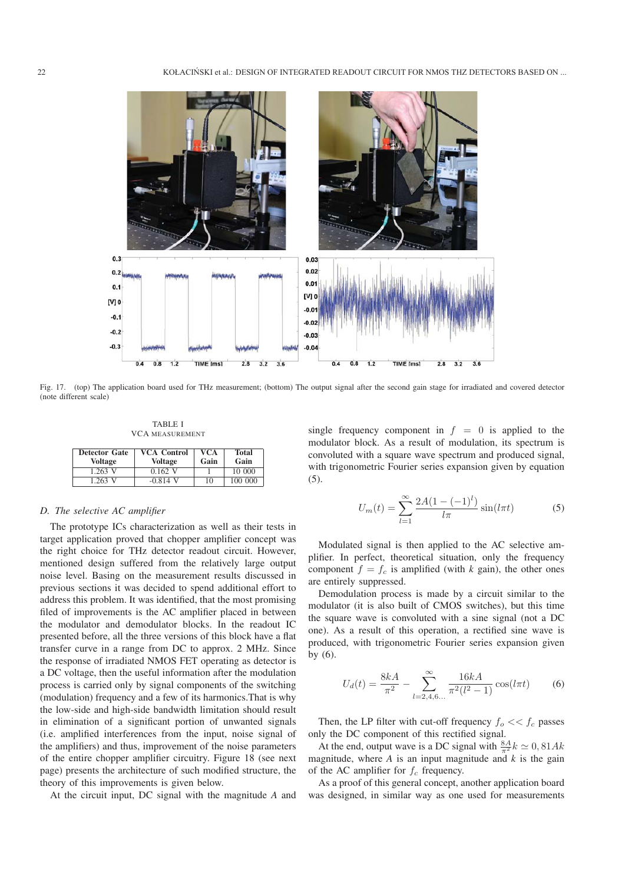

Fig. 17. (top) The application board used for THz measurement; (bottom) The output signal after the second gain stage for irradiated and covered detector (note different scale)

TABLE I VCA MEASUREMENT

| <b>Detector Gate</b><br>Voltage | <b>VCA Control</b><br><b>Voltage</b> | <b>VCA</b><br>Gain | <b>Total</b><br>Gain |
|---------------------------------|--------------------------------------|--------------------|----------------------|
| 1.263 V                         | $0.162$ V                            |                    | 10 000               |
| 1.263 V                         | $-0.814$ V                           | 10                 | 100 000              |

## *D. The selective AC amplifier*

The prototype ICs characterization as well as their tests in target application proved that chopper amplifier concept was the right choice for THz detector readout circuit. However, mentioned design suffered from the relatively large output noise level. Basing on the measurement results discussed in previous sections it was decided to spend additional effort to address this problem. It was identified, that the most promising filed of improvements is the AC amplifier placed in between the modulator and demodulator blocks. In the readout IC presented before, all the three versions of this block have a flat transfer curve in a range from DC to approx. 2 MHz. Since the response of irradiated NMOS FET operating as detector is a DC voltage, then the useful information after the modulation process is carried only by signal components of the switching (modulation) frequency and a few of its harmonics.That is why the low-side and high-side bandwidth limitation should result in elimination of a significant portion of unwanted signals (i.e. amplified interferences from the input, noise signal of the amplifiers) and thus, improvement of the noise parameters of the entire chopper amplifier circuitry. Figure 18 (see next page) presents the architecture of such modified structure, the theory of this improvements is given below.

At the circuit input, DC signal with the magnitude *A* and

single frequency component in  $f = 0$  is applied to the modulator block. As a result of modulation, its spectrum is convoluted with a square wave spectrum and produced signal, with trigonometric Fourier series expansion given by equation (5).

$$
U_m(t) = \sum_{l=1}^{\infty} \frac{2A(1 - (-1)^l)}{l\pi} \sin(l\pi t)
$$
 (5)

Modulated signal is then applied to the AC selective amplifier. In perfect, theoretical situation, only the frequency component  $f = f_c$  is amplified (with *k* gain), the other ones are entirely suppressed.

Demodulation process is made by a circuit similar to the modulator (it is also built of CMOS switches), but this time the square wave is convoluted with a sine signal (not a DC one). As a result of this operation, a rectified sine wave is produced, with trigonometric Fourier series expansion given by (6).

$$
U_d(t) = \frac{8kA}{\pi^2} - \sum_{l=2,4,6...}^{\infty} \frac{16kA}{\pi^2(l^2 - 1)} \cos(l\pi t)
$$
 (6)

Then, the LP filter with cut-off frequency  $f_o \ll f_c$  passes only the DC component of this rectified signal.

At the end, output wave is a DC signal with  $\frac{8A}{\pi^2}k \approx 0,81Ak$ magnitude, where *A* is an input magnitude and *k* is the gain of the AC amplifier for  $f_c$  frequency.

As a proof of this general concept, another application board was designed, in similar way as one used for measurements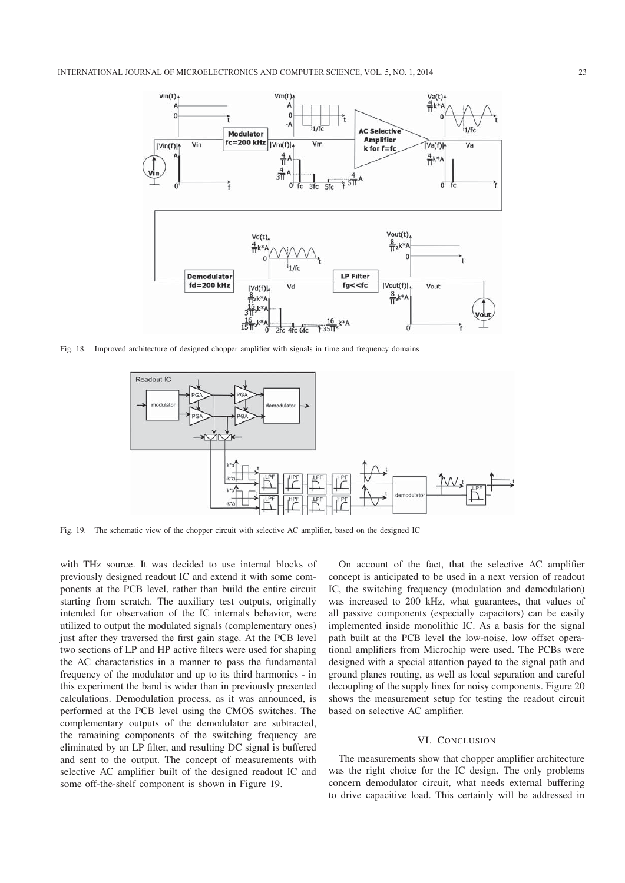

Fig. 18. Improved architecture of designed chopper amplifier with signals in time and frequency domains



Fig. 19. The schematic view of the chopper circuit with selective AC amplifier, based on the designed IC

with THz source. It was decided to use internal blocks of previously designed readout IC and extend it with some components at the PCB level, rather than build the entire circuit starting from scratch. The auxiliary test outputs, originally intended for observation of the IC internals behavior, were utilized to output the modulated signals (complementary ones) just after they traversed the first gain stage. At the PCB level two sections of LP and HP active filters were used for shaping the AC characteristics in a manner to pass the fundamental frequency of the modulator and up to its third harmonics - in this experiment the band is wider than in previously presented calculations. Demodulation process, as it was announced, is performed at the PCB level using the CMOS switches. The complementary outputs of the demodulator are subtracted, the remaining components of the switching frequency are eliminated by an LP filter, and resulting DC signal is buffered and sent to the output. The concept of measurements with selective AC amplifier built of the designed readout IC and some off-the-shelf component is shown in Figure 19.

On account of the fact, that the selective AC amplifier concept is anticipated to be used in a next version of readout IC, the switching frequency (modulation and demodulation) was increased to 200 kHz, what guarantees, that values of all passive components (especially capacitors) can be easily implemented inside monolithic IC. As a basis for the signal path built at the PCB level the low-noise, low offset operational amplifiers from Microchip were used. The PCBs were designed with a special attention payed to the signal path and ground planes routing, as well as local separation and careful decoupling of the supply lines for noisy components. Figure 20 shows the measurement setup for testing the readout circuit based on selective AC amplifier.

## VI. CONCLUSION

The measurements show that chopper amplifier architecture was the right choice for the IC design. The only problems concern demodulator circuit, what needs external buffering to drive capacitive load. This certainly will be addressed in